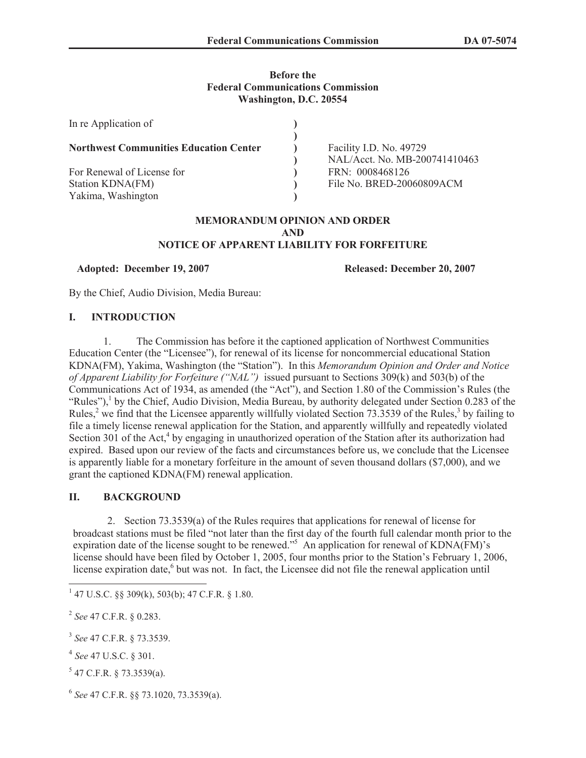## **Before the Federal Communications Commission Washington, D.C. 20554**

| In re Application of                          |                                                  |
|-----------------------------------------------|--------------------------------------------------|
| <b>Northwest Communities Education Center</b> | Facility I.D. No. 49729                          |
| For Renewal of License for                    | NAL/Acct. No. MB-200741410463<br>FRN: 0008468126 |
| Station KDNA(FM)<br>Yakima, Washington        | File No. BRED-20060809ACM                        |

#### **MEMORANDUM OPINION AND ORDER AND NOTICE OF APPARENT LIABILITY FOR FORFEITURE**

### **Adopted: December 19, 2007 Released: December 20, 2007**

By the Chief, Audio Division, Media Bureau:

### **I. INTRODUCTION**

1. The Commission has before it the captioned application of Northwest Communities Education Center (the "Licensee"), for renewal of its license for noncommercial educational Station KDNA(FM), Yakima, Washington (the "Station"). In this *Memorandum Opinion and Order and Notice of Apparent Liability for Forfeiture ("NAL")* issued pursuant to Sections 309(k) and 503(b) of the Communications Act of 1934, as amended (the "Act"), and Section 1.80 of the Commission's Rules (the "Rules"),<sup>1</sup> by the Chief, Audio Division, Media Bureau, by authority delegated under Section 0.283 of the Rules,<sup>2</sup> we find that the Licensee apparently willfully violated Section 73.3539 of the Rules,<sup>3</sup> by failing to file a timely license renewal application for the Station, and apparently willfully and repeatedly violated Section 301 of the Act,<sup>4</sup> by engaging in unauthorized operation of the Station after its authorization had expired. Based upon our review of the facts and circumstances before us, we conclude that the Licensee is apparently liable for a monetary forfeiture in the amount of seven thousand dollars (\$7,000), and we grant the captioned KDNA(FM) renewal application.

## **II. BACKGROUND**

2. Section 73.3539(a) of the Rules requires that applications for renewal of license for broadcast stations must be filed "not later than the first day of the fourth full calendar month prior to the expiration date of the license sought to be renewed."<sup>5</sup> An application for renewal of KDNA(FM)'s license should have been filed by October 1, 2005, four months prior to the Station's February 1, 2006, license expiration date,<sup>6</sup> but was not. In fact, the Licensee did not file the renewal application until

2 *See* 47 C.F.R. § 0.283.

 $1$  47 U.S.C. §§ 309(k), 503(b); 47 C.F.R. § 1.80.

<sup>3</sup> *See* 47 C.F.R. § 73.3539.

<sup>4</sup> *See* 47 U.S.C. § 301.

 $5$  47 C.F.R. § 73.3539(a).

<sup>6</sup> *See* 47 C.F.R. §§ 73.1020, 73.3539(a).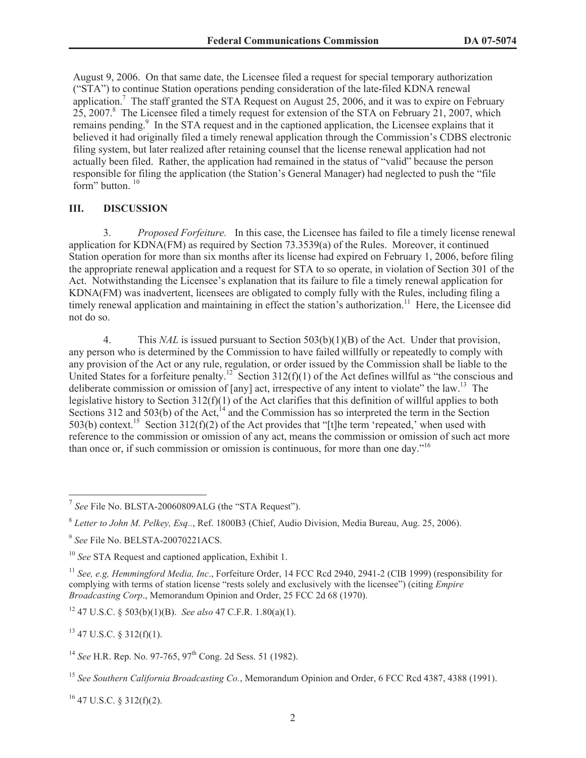August 9, 2006. On that same date, the Licensee filed a request for special temporary authorization ("STA") to continue Station operations pending consideration of the late-filed KDNA renewal application.<sup>7</sup> The staff granted the STA Request on August 25, 2006, and it was to expire on February  $25, 2007$ .<sup>8</sup> The Licensee filed a timely request for extension of the STA on February 21, 2007, which remains pending.<sup>9</sup> In the STA request and in the captioned application, the Licensee explains that it believed it had originally filed a timely renewal application through the Commission's CDBS electronic filing system, but later realized after retaining counsel that the license renewal application had not actually been filed. Rather, the application had remained in the status of "valid" because the person responsible for filing the application (the Station's General Manager) had neglected to push the "file form" button.<sup>10</sup>

### **III. DISCUSSION**

3. *Proposed Forfeiture.* In this case, the Licensee has failed to file a timely license renewal application for KDNA(FM) as required by Section 73.3539(a) of the Rules. Moreover, it continued Station operation for more than six months after its license had expired on February 1, 2006, before filing the appropriate renewal application and a request for STA to so operate, in violation of Section 301 of the Act. Notwithstanding the Licensee's explanation that its failure to file a timely renewal application for KDNA(FM) was inadvertent, licensees are obligated to comply fully with the Rules, including filing a timely renewal application and maintaining in effect the station's authorization.<sup>11</sup> Here, the Licensee did not do so.

4. This *NAL* is issued pursuant to Section 503(b)(1)(B) of the Act. Under that provision, any person who is determined by the Commission to have failed willfully or repeatedly to comply with any provision of the Act or any rule, regulation, or order issued by the Commission shall be liable to the United States for a forfeiture penalty.<sup>12</sup> Section 312(f)(1) of the Act defines willful as "the conscious and deliberate commission or omission of [any] act, irrespective of any intent to violate" the law.<sup>13</sup> The legislative history to Section 312(f)(1) of the Act clarifies that this definition of willful applies to both Sections 312 and 503(b) of the Act,  $14$  and the Commission has so interpreted the term in the Section 503(b) context.<sup>15</sup> Section 312(f)(2) of the Act provides that "[t]he term 'repeated,' when used with reference to the commission or omission of any act, means the commission or omission of such act more than once or, if such commission or omission is continuous, for more than one day."<sup>16</sup>

<sup>12</sup> 47 U.S.C. § 503(b)(1)(B). *See also* 47 C.F.R. 1.80(a)(1).

 $13$  47 U.S.C. § 312(f)(1).

 $16$  47 U.S.C. § 312(f)(2).

<sup>&</sup>lt;sup>7</sup> See File No. BLSTA-20060809ALG (the "STA Request").

<sup>8</sup> *Letter to John M. Pelkey, Esq..*, Ref. 1800B3 (Chief, Audio Division, Media Bureau, Aug. 25, 2006).

<sup>9</sup> *See* File No. BELSTA-20070221ACS.

<sup>10</sup> *See* STA Request and captioned application, Exhibit 1.

<sup>11</sup> *See, e.g, Hemmingford Media, Inc*., Forfeiture Order, 14 FCC Rcd 2940, 2941-2 (CIB 1999) (responsibility for complying with terms of station license "rests solely and exclusively with the licensee") (citing *Empire Broadcasting Corp*., Memorandum Opinion and Order, 25 FCC 2d 68 (1970).

<sup>&</sup>lt;sup>14</sup> *See* H.R. Rep. No. 97-765, 97<sup>th</sup> Cong. 2d Sess. 51 (1982).

<sup>15</sup> *See Southern California Broadcasting Co.*, Memorandum Opinion and Order, 6 FCC Rcd 4387, 4388 (1991).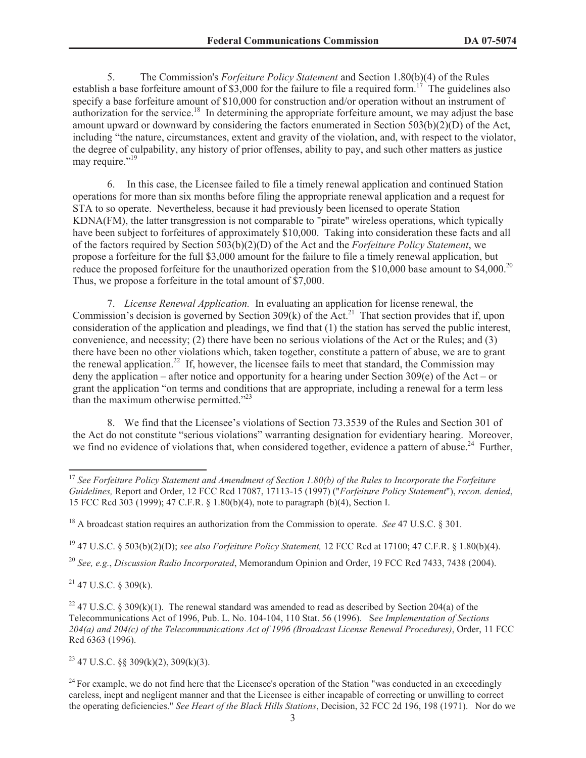5. The Commission's *Forfeiture Policy Statement* and Section 1.80(b)(4) of the Rules establish a base forfeiture amount of \$3,000 for the failure to file a required form.<sup>17</sup> The guidelines also specify a base forfeiture amount of \$10,000 for construction and/or operation without an instrument of authorization for the service.<sup>18</sup> In determining the appropriate forfeiture amount, we may adjust the base amount upward or downward by considering the factors enumerated in Section 503(b)(2)(D) of the Act, including "the nature, circumstances, extent and gravity of the violation, and, with respect to the violator, the degree of culpability, any history of prior offenses, ability to pay, and such other matters as justice may require."<sup>19</sup>

6. In this case, the Licensee failed to file a timely renewal application and continued Station operations for more than six months before filing the appropriate renewal application and a request for STA to so operate. Nevertheless, because it had previously been licensed to operate Station KDNA(FM), the latter transgression is not comparable to "pirate" wireless operations, which typically have been subject to forfeitures of approximately \$10,000. Taking into consideration these facts and all of the factors required by Section 503(b)(2)(D) of the Act and the *Forfeiture Policy Statement*, we propose a forfeiture for the full \$3,000 amount for the failure to file a timely renewal application, but reduce the proposed forfeiture for the unauthorized operation from the \$10,000 base amount to \$4,000.<sup>20</sup> Thus, we propose a forfeiture in the total amount of \$7,000.

7. *License Renewal Application.* In evaluating an application for license renewal, the Commission's decision is governed by Section  $309(k)$  of the Act.<sup>21</sup> That section provides that if, upon consideration of the application and pleadings, we find that (1) the station has served the public interest, convenience, and necessity; (2) there have been no serious violations of the Act or the Rules; and (3) there have been no other violations which, taken together, constitute a pattern of abuse, we are to grant the renewal application.<sup>22</sup> If, however, the licensee fails to meet that standard, the Commission may deny the application – after notice and opportunity for a hearing under Section 309(e) of the Act – or grant the application "on terms and conditions that are appropriate, including a renewal for a term less than the maximum otherwise permitted. $123$ 

8. We find that the Licensee's violations of Section 73.3539 of the Rules and Section 301 of the Act do not constitute "serious violations" warranting designation for evidentiary hearing. Moreover, we find no evidence of violations that, when considered together, evidence a pattern of abuse.<sup>24</sup> Further,

<sup>19</sup> 47 U.S.C. § 503(b)(2)(D); *see also Forfeiture Policy Statement,* 12 FCC Rcd at 17100; 47 C.F.R. § 1.80(b)(4).

<sup>20</sup> *See, e.g.*, *Discussion Radio Incorporated*, Memorandum Opinion and Order, 19 FCC Rcd 7433, 7438 (2004).

 $21$  47 U.S.C. § 309(k).

 $23$  47 U.S.C. §§ 309(k)(2), 309(k)(3).

<sup>17</sup> *See Forfeiture Policy Statement and Amendment of Section 1.80(b) of the Rules to Incorporate the Forfeiture Guidelines,* Report and Order, 12 FCC Rcd 17087, 17113-15 (1997) ("*Forfeiture Policy Statement*"), *recon. denied*, 15 FCC Rcd 303 (1999); 47 C.F.R. § 1.80(b)(4), note to paragraph (b)(4), Section I.

<sup>18</sup> A broadcast station requires an authorization from the Commission to operate. *See* 47 U.S.C. § 301.

<sup>&</sup>lt;sup>22</sup> 47 U.S.C. § 309(k)(1). The renewal standard was amended to read as described by Section 204(a) of the Telecommunications Act of 1996, Pub. L. No. 104-104, 110 Stat. 56 (1996). S*ee Implementation of Sections 204(a) and 204(c) of the Telecommunications Act of 1996 (Broadcast License Renewal Procedures)*, Order, 11 FCC Rcd 6363 (1996).

 $^{24}$  For example, we do not find here that the Licensee's operation of the Station "was conducted in an exceedingly careless, inept and negligent manner and that the Licensee is either incapable of correcting or unwilling to correct the operating deficiencies." *See Heart of the Black Hills Stations*, Decision, 32 FCC 2d 196, 198 (1971). Nor do we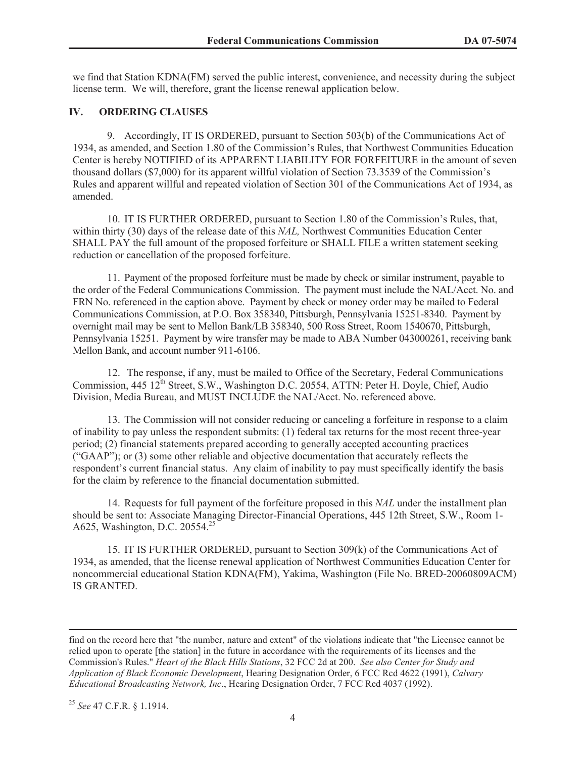we find that Station KDNA(FM) served the public interest, convenience, and necessity during the subject license term. We will, therefore, grant the license renewal application below.

### **IV. ORDERING CLAUSES**

9. Accordingly, IT IS ORDERED, pursuant to Section 503(b) of the Communications Act of 1934, as amended, and Section 1.80 of the Commission's Rules, that Northwest Communities Education Center is hereby NOTIFIED of its APPARENT LIABILITY FOR FORFEITURE in the amount of seven thousand dollars (\$7,000) for its apparent willful violation of Section 73.3539 of the Commission's Rules and apparent willful and repeated violation of Section 301 of the Communications Act of 1934, as amended.

10. IT IS FURTHER ORDERED, pursuant to Section 1.80 of the Commission's Rules, that, within thirty (30) days of the release date of this *NAL,* Northwest Communities Education Center SHALL PAY the full amount of the proposed forfeiture or SHALL FILE a written statement seeking reduction or cancellation of the proposed forfeiture.

11. Payment of the proposed forfeiture must be made by check or similar instrument, payable to the order of the Federal Communications Commission. The payment must include the NAL/Acct. No. and FRN No. referenced in the caption above. Payment by check or money order may be mailed to Federal Communications Commission, at P.O. Box 358340, Pittsburgh, Pennsylvania 15251-8340. Payment by overnight mail may be sent to Mellon Bank/LB 358340, 500 Ross Street, Room 1540670, Pittsburgh, Pennsylvania 15251. Payment by wire transfer may be made to ABA Number 043000261, receiving bank Mellon Bank, and account number 911-6106.

12. The response, if any, must be mailed to Office of the Secretary, Federal Communications Commission, 445 12<sup>th</sup> Street, S.W., Washington D.C. 20554, ATTN: Peter H. Doyle, Chief, Audio Division, Media Bureau, and MUST INCLUDE the NAL/Acct. No. referenced above.

13. The Commission will not consider reducing or canceling a forfeiture in response to a claim of inability to pay unless the respondent submits: (1) federal tax returns for the most recent three-year period; (2) financial statements prepared according to generally accepted accounting practices ("GAAP"); or (3) some other reliable and objective documentation that accurately reflects the respondent's current financial status. Any claim of inability to pay must specifically identify the basis for the claim by reference to the financial documentation submitted.

14. Requests for full payment of the forfeiture proposed in this *NAL* under the installment plan should be sent to: Associate Managing Director-Financial Operations, 445 12th Street, S.W., Room 1- A625, Washington, D.C. 20554.<sup>25</sup>

15. IT IS FURTHER ORDERED, pursuant to Section 309(k) of the Communications Act of 1934, as amended, that the license renewal application of Northwest Communities Education Center for noncommercial educational Station KDNA(FM), Yakima, Washington (File No. BRED-20060809ACM) IS GRANTED.

<sup>25</sup> *See* 47 C.F.R. § 1.1914.

find on the record here that "the number, nature and extent" of the violations indicate that "the Licensee cannot be relied upon to operate [the station] in the future in accordance with the requirements of its licenses and the Commission's Rules." *Heart of the Black Hills Stations*, 32 FCC 2d at 200. *See also Center for Study and Application of Black Economic Development*, Hearing Designation Order, 6 FCC Rcd 4622 (1991), *Calvary Educational Broadcasting Network, Inc*., Hearing Designation Order, 7 FCC Rcd 4037 (1992).